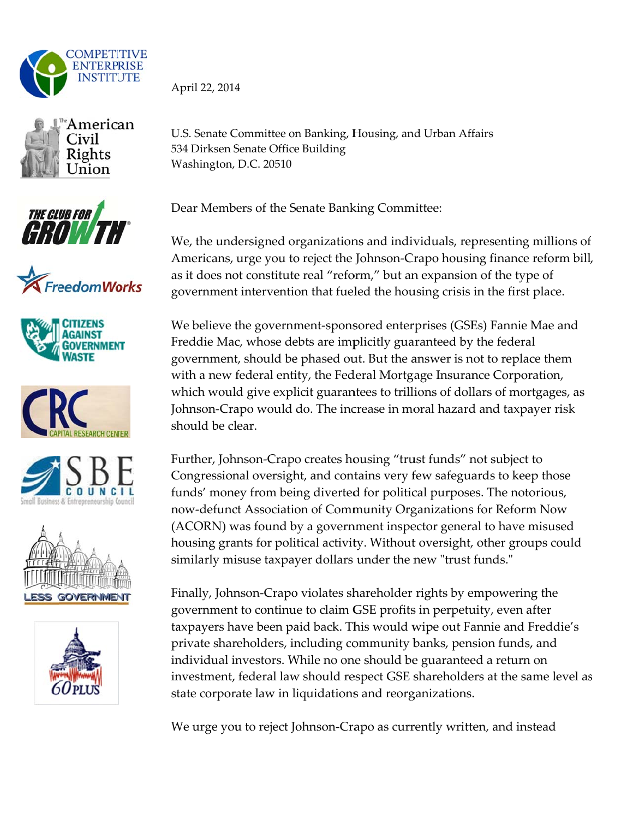

















April 22, 2014

U.S. Senate Committee on Banking, Housing, and Urban Affairs 534 Dirksen Senate Office Building Washington, D.C. 20510

Dear Members of the Senate Banking Committee:

We, the undersigned organizations and individuals, representing millions of Americans, urge you to reject the Johnson-Crapo housing finance reform bill, as it does not constitute real "reform," but an expansion of the type of government intervention that fueled the housing crisis in the first place.

We believe the government-sponsored enterprises (GSEs) Fannie Mae and Freddie Mac, whose debts are implicitly guaranteed by the federal government, should be phased out. But the answer is not to replace them with a new federal entity, the Federal Mortgage Insurance Corporation, which would give explicit guarantees to trillions of dollars of mortgages, as Johnson-Crapo would do. The increase in moral hazard and taxpayer risk should be clear.

Further, Johnson-Crapo creates housing "trust funds" not subject to Congressional oversight, and contains very few safeguards to keep those funds' money from being diverted for political purposes. The notorious, now-defunct Association of Community Organizations for Reform Now (ACORN) was found by a government inspector general to have misused housing grants for political activity. Without oversight, other groups could similarly misuse taxpayer dollars under the new "trust funds."

Finally, Johnson-Crapo violates shareholder rights by empowering the government to continue to claim GSE profits in perpetuity, even after taxpayers have been paid back. This would wipe out Fannie and Freddie's private shareholders, including community banks, pension funds, and individual investors. While no one should be guaranteed a return on investment, federal law should respect GSE shareholders at the same level as state corporate law in liquidations and reorganizations.

We urge you to reject Johnson-Crapo as currently written, and instead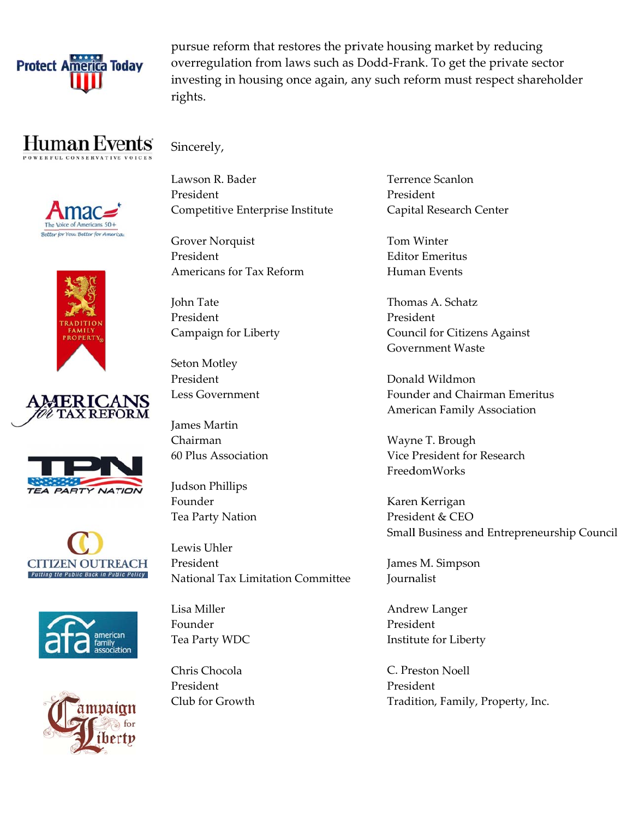

pursue reform that restores the private housing market by reducing overregulation from laws such as Dodd-Frank. To get the private sector investing in housing once again, any such reform must respect shareholder rights.

## Human Events















Sincerely,

Lawson R. Bader President Competitive Enterprise Institute

**Grover Norquist** President Americans for Tax Reform

John Tate President Campaign for Liberty

Seton Motley President Less Government

**James Martin** Chairman 60 Plus Association

Judson Phillips Founder Tea Party Nation

Lewis Uhler President National Tax Limitation Committee

Lisa Miller Founder Tea Party WDC

Chris Chocola President Club for Growth Terrence Scanlon President Capital Research Center

Tom Winter **Editor Emeritus** Human Events

Thomas A. Schatz President **Council for Citizens Against Government Waste** 

Donald Wildmon Founder and Chairman Emeritus **American Family Association** 

Wayne T. Brough Vice President for Research FreedomWorks

Karen Kerrigan President & CEO Small Business and Entrepreneurship Council

James M. Simpson **Journalist** 

Andrew Langer President Institute for Liberty

C. Preston Noell President Tradition, Family, Property, Inc.